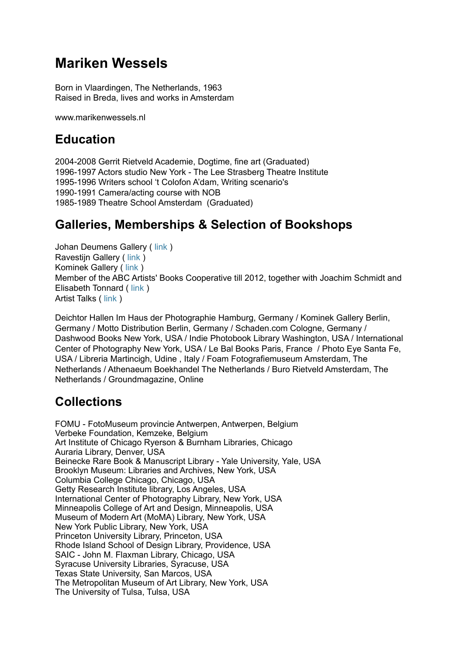# **Mariken Wessels**

Born in Vlaardingen, The Netherlands, 1963 Raised in Breda, lives and works in Amsterdam

www.marikenwessels.nl

## **Education**

2004-2008 Gerrit Rietveld Academie, Dogtime, fine art (Graduated) 1996-1997 Actors studio New York - The Lee Strasberg Theatre Institute 1995-1996 Writers school 't Colofon A'dam, Writing scenario's 1990-1991 Camera/acting course with NOB 1985-1989 Theatre School Amsterdam (Graduated)

## **Galleries, Memberships & Selection of Bookshops**

Johan Deumens Gallery ( [link](http://www.johandeumens.com/) ) Ravestijn Gallery ( [link](http://www.theravestijngallery.com/) ) Kominek Gallery ( [link](http://www.kominek-gallery.com/) ) Member of the ABC Artists' Books Cooperative till 2012, together with Joachim Schmidt and Elisabeth Tonnard ( [link](http://abcoop.tumblr.com) ) Artist Talks ( [link](http://www.artisttalks.nl/sprekers/#!mariken_wessels) )

Deichtor Hallen Im Haus der Photographie Hamburg, Germany / Kominek Gallery Berlin, Germany / Motto Distribution Berlin, Germany / Schaden.com Cologne, Germany / Dashwood Books New York, USA / Indie Photobook Library Washington, USA / International Center of Photography New York, USA / Le Bal Books Paris, France / Photo Eye Santa Fe, USA / Libreria Martincigh, Udine , Italy / Foam Fotografiemuseum Amsterdam, The Netherlands / Athenaeum Boekhandel The Netherlands / Buro Rietveld Amsterdam, The Netherlands / Groundmagazine, Online

## **Collections**

FOMU - FotoMuseum provincie Antwerpen, Antwerpen, Belgium Verbeke Foundation, Kemzeke, Belgium Art Institute of Chicago Ryerson & Burnham Libraries, Chicago Auraria Library, Denver, USA Beinecke Rare Book & Manuscript Library - Yale University, Yale, USA Brooklyn Museum: Libraries and Archives, New York, USA Columbia College Chicago, Chicago, USA Getty Research Institute library, Los Angeles, USA International Center of Photography Library, New York, USA Minneapolis College of Art and Design, Minneapolis, USA Museum of Modern Art (MoMA) Library, New York, USA New York Public Library, New York, USA Princeton University Library, Princeton, USA Rhode Island School of Design Library, Providence, USA SAIC - John M. Flaxman Library, Chicago, USA Syracuse University Libraries, Syracuse, USA Texas State University, San Marcos, USA The Metropolitan Museum of Art Library, New York, USA The University of Tulsa, Tulsa, USA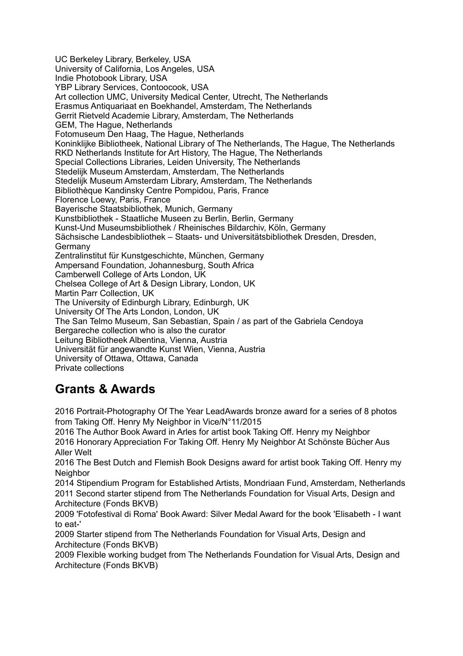UC Berkeley Library, Berkeley, USA University of California, Los Angeles, USA Indie Photobook Library, USA YBP Library Services, Contoocook, USA Art collection UMC, University Medical Center, Utrecht, The Netherlands Erasmus Antiquariaat en Boekhandel, Amsterdam, The Netherlands Gerrit Rietveld Academie Library, Amsterdam, The Netherlands GEM, The Hague, Netherlands Fotomuseum Den Haag, The Hague, Netherlands Koninklijke Bibliotheek, National Library of The Netherlands, The Hague, The Netherlands RKD Netherlands Institute for Art History, The Hague, The Netherlands Special Collections Libraries, Leiden University, The Netherlands Stedelijk Museum Amsterdam, Amsterdam, The Netherlands Stedelijk Museum Amsterdam Library, Amsterdam, The Netherlands Bibliothèque Kandinsky Centre Pompidou, Paris, France Florence Loewy, Paris, France Bayerische Staatsbibliothek, Munich, Germany Kunstbibliothek - Staatliche Museen zu Berlin, Berlin, Germany Kunst-Und Museumsbibliothek / Rheinisches Bildarchiv, Köln, Germany Sächsische Landesbibliothek – Staats- und Universitätsbibliothek Dresden, Dresden, Germany Zentralinstitut für Kunstgeschichte, München, Germany Ampersand Foundation, Johannesburg, South Africa Camberwell College of Arts London, UK Chelsea College of Art & Design Library, London, UK Martin Parr Collection, UK The University of Edinburgh Library, Edinburgh, UK University Of The Arts London, London, UK The San Telmo Museum, San Sebastian, Spain / as part of the Gabriela Cendoya Bergareche collection who is also the curator Leitung Bibliotheek Albentina, Vienna, Austria Universität für angewandte Kunst Wien, Vienna, Austria University of Ottawa, Ottawa, Canada Private collections

# **Grants & Awards**

2016 Portrait-Photography Of The Year LeadAwards bronze award for a series of 8 photos from Taking Off. Henry My Neighbor in Vice/N°11/2015

2016 The Author Book Award in Arles for artist book Taking Off. Henry my Neighbor 2016 Honorary Appreciation For Taking Off. Henry My Neighbor At Schönste Bücher Aus Aller Welt

2016 The Best Dutch and Flemish Book Designs award for artist book Taking Off. Henry my **Neighbor** 

2014 Stipendium Program for Established Artists, Mondriaan Fund, Amsterdam, Netherlands 2011 Second starter stipend from The Netherlands Foundation for Visual Arts, Design and Architecture (Fonds BKVB)

2009 'Fotofestival di Roma' Book Award: Silver Medal Award for the book 'Elisabeth - I want to eat-'

2009 Starter stipend from The Netherlands Foundation for Visual Arts, Design and Architecture (Fonds BKVB)

2009 Flexible working budget from The Netherlands Foundation for Visual Arts, Design and Architecture (Fonds BKVB)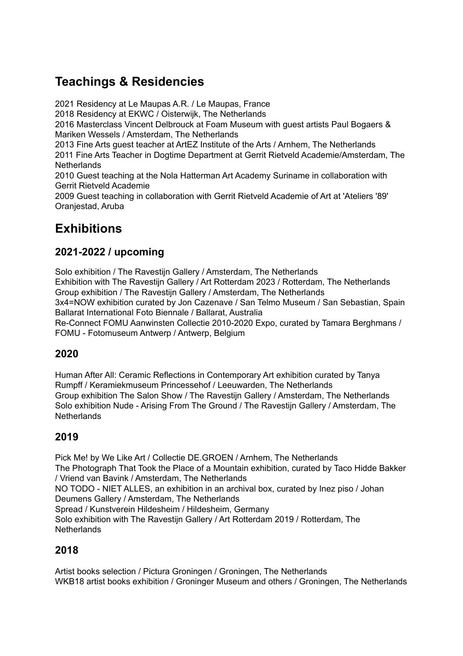## **Teachings & Residencies**

2021 Residency at Le Maupas A.R. / Le Maupas, France 2018 Residency at EKWC / Oisterwijk, The Netherlands 2016 Masterclass Vincent Delbrouck at Foam Museum with guest artists Paul Bogaers & Mariken Wessels / Amsterdam, The Netherlands 2013 Fine Arts guest teacher at ArtEZ Institute of the Arts / Arnhem, The Netherlands 2011 Fine Arts Teacher in Dogtime Department at Gerrit Rietveld Academie/Amsterdam, The **Netherlands** 2010 Guest teaching at the Nola Hatterman Art Academy Suriname in collaboration with Gerrit Rietveld Academie 2009 Guest teaching in collaboration with Gerrit Rietveld Academie of Art at 'Ateliers '89' Oranjestad, Aruba

## **Exhibitions**

## **2021-2022 / upcoming**

Solo exhibition / The Ravestijn Gallery / Amsterdam, The Netherlands Exhibition with The Ravestijn Gallery / Art Rotterdam 2023 / Rotterdam, The Netherlands Group exhibition / The Ravestijn Gallery / Amsterdam, The Netherlands 3x4=NOW exhibition curated by Jon Cazenave / San Telmo Museum / San Sebastian, Spain Ballarat International Foto Biennale / Ballarat, Australia

Re-Connect FOMU Aanwinsten Collectie 2010-2020 Expo, curated by Tamara Berghmans / FOMU - Fotomuseum Antwerp / Antwerp, Belgium

## **2020**

Human After All: Ceramic Reflections in Contemporary Art exhibition curated by Tanya Rumpff / Keramiekmuseum Princessehof / Leeuwarden, The Netherlands Group exhibition The Salon Show / The Ravestijn Gallery / Amsterdam, The Netherlands Solo exhibition Nude - Arising From The Ground / The Ravestijn Gallery / Amsterdam, The **Netherlands** 

## **2019**

Pick Me! by We Like Art / Collectie DE.GROEN / Arnhem, The Netherlands The Photograph That Took the Place of a Mountain exhibition, curated by Taco Hidde Bakker / Vriend van Bavink / Amsterdam, The Netherlands NO TODO - NIET ALLES, an exhibition in an archival box, curated by Inez piso / Johan Deumens Gallery / Amsterdam, The Netherlands Spread / Kunstverein Hildesheim / Hildesheim, Germany Solo exhibition with The Ravestijn Gallery / Art Rotterdam 2019 / Rotterdam, The **Netherlands** 

## **2018**

Artist books selection / Pictura Groningen / Groningen, The Netherlands WKB18 artist books exhibition / Groninger Museum and others / Groningen, The Netherlands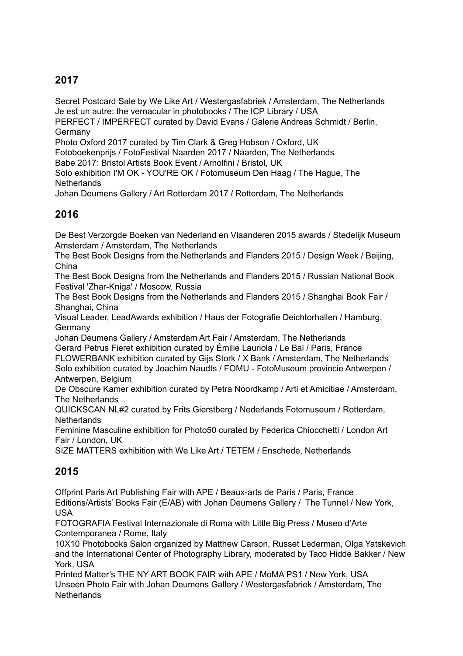## **2017**

Secret Postcard Sale by We Like Art / Westergasfabriek / Amsterdam, The Netherlands Je est un autre: the vernacular in photobooks / The ICP Library / USA

PERFECT / IMPERFECT curated by David Evans / Galerie Andreas Schmidt / Berlin, Germany

Photo Oxford 2017 curated by Tim Clark & Greg Hobson / Oxford, UK Fotoboekenprijs / FotoFestival Naarden 2017 / Naarden, The Netherlands

Babe 2017: Bristol Artists Book Event / Arnolfini / Bristol, UK

Solo exhibition I'M OK - YOU'RE OK / Fotomuseum Den Haag / The Hague, The **Netherlands** 

Johan Deumens Gallery / Art Rotterdam 2017 / Rotterdam, The Netherlands

## **2016**

De Best Verzorgde Boeken van Nederland en Vlaanderen 2015 awards / Stedelijk Museum Amsterdam / Amsterdam, The Netherlands

The Best Book Designs from the Netherlands and Flanders 2015 / Design Week / Beijing, China

The Best Book Designs from the Netherlands and Flanders 2015 / Russian National Book Festival 'Zhar-Kniga' / Moscow, Russia

The Best Book Designs from the Netherlands and Flanders 2015 / Shanghai Book Fair / Shanghai, China

Visual Leader, LeadAwards exhibition / Haus der Fotografie Deichtorhallen / Hamburg, **Germany** 

Johan Deumens Gallery / Amsterdam Art Fair / Amsterdam, The Netherlands Gerard Petrus Fieret exhibition curated by Émilie Lauriola / Le Bal / Paris, France FLOWERBANK exhibition curated by Gijs Stork / X Bank / Amsterdam, The Netherlands Solo exhibition curated by Joachim Naudts / FOMU - FotoMuseum provincie Antwerpen / Antwerpen, Belgium

De Obscure Kamer exhibition curated by Petra Noordkamp / Arti et Amicitiae / Amsterdam, The Netherlands

QUICKSCAN NL#2 curated by Frits Gierstberg / Nederlands Fotomuseum / Rotterdam, **Netherlands** 

Feminine Masculine exhibition for Photo50 curated by Federica Chiocchetti / London Art Fair / London, UK

SIZE MATTERS exhibition with We Like Art / TETEM / Enschede, Netherlands

## **2015**

Offprint Paris Art Publishing Fair with APE / Beaux-arts de Paris / Paris, France Editions/Artists' Books Fair (E/AB) with Johan Deumens Gallery / The Tunnel / New York, USA

FOTOGRAFIA Festival Internazionale di Roma with Little Big Press / Museo d'Arte Contemporanea / Rome, Italy

10X10 Photobooks Salon organized by Matthew Carson, Russet Lederman, Olga Yatskevich and the International Center of Photography Library, moderated by Taco Hidde Bakker / New York, USA

Printed Matter's THE NY ART BOOK FAIR with APE / MoMA PS1 / New York, USA Unseen Photo Fair with Johan Deumens Gallery / Westergasfabriek / Amsterdam, The **Netherlands**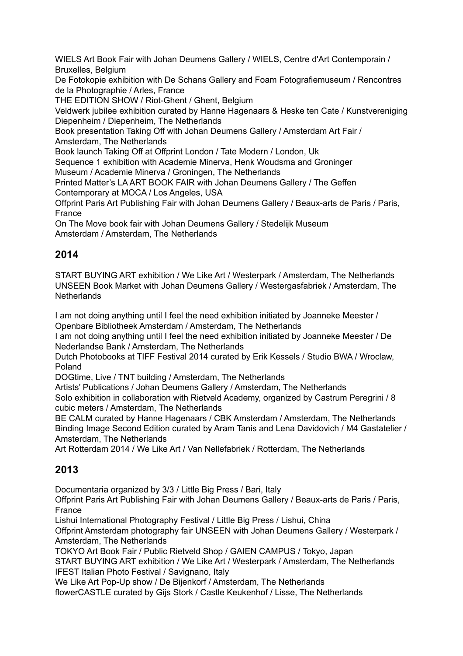WIELS Art Book Fair with Johan Deumens Gallery / WIELS, Centre d'Art Contemporain / Bruxelles, Belgium

De Fotokopie exhibition with De Schans Gallery and Foam Fotografiemuseum / Rencontres de la Photographie / Arles, France

THE EDITION SHOW / Riot-Ghent / Ghent, Belgium

Veldwerk jubilee exhibition curated by Hanne Hagenaars & Heske ten Cate / Kunstvereniging Diepenheim / Diepenheim, The Netherlands

Book presentation Taking Off with Johan Deumens Gallery / Amsterdam Art Fair / Amsterdam, The Netherlands

Book launch Taking Off at Offprint London / Tate Modern / London, Uk

Sequence 1 exhibition with Academie Minerva, Henk Woudsma and Groninger

Museum / Academie Minerva / Groningen, The Netherlands

Printed Matter's LA ART BOOK FAIR with Johan Deumens Gallery / The Geffen Contemporary at MOCA / Los Angeles, USA

Offprint Paris Art Publishing Fair with Johan Deumens Gallery / Beaux-arts de Paris / Paris, France

On The Move book fair with Johan Deumens Gallery / Stedelijk Museum Amsterdam / Amsterdam, The Netherlands

#### **2014**

START BUYING ART exhibition / We Like Art / Westerpark / Amsterdam, The Netherlands UNSEEN Book Market with Johan Deumens Gallery / Westergasfabriek / Amsterdam, The **Netherlands** 

I am not doing anything until I feel the need exhibition initiated by Joanneke Meester / Openbare Bibliotheek Amsterdam / Amsterdam, The Netherlands

I am not doing anything until I feel the need exhibition initiated by Joanneke Meester / De Nederlandse Bank / Amsterdam, The Netherlands

Dutch Photobooks at TIFF Festival 2014 curated by Erik Kessels / Studio BWA / Wroclaw, Poland

DOGtime, Live / TNT building / Amsterdam, The Netherlands

Artists' Publications / Johan Deumens Gallery / Amsterdam, The Netherlands

Solo exhibition in collaboration with Rietveld Academy, organized by Castrum Peregrini / 8 cubic meters / Amsterdam, The Netherlands

BE CALM curated by Hanne Hagenaars / CBK Amsterdam / Amsterdam, The Netherlands Binding Image Second Edition curated by Aram Tanis and Lena Davidovich / M4 Gastatelier / Amsterdam, The Netherlands

Art Rotterdam 2014 / We Like Art / Van Nellefabriek / Rotterdam, The Netherlands

## **2013**

Documentaria organized by 3/3 / Little Big Press / Bari, Italy

Offprint Paris Art Publishing Fair with Johan Deumens Gallery / Beaux-arts de Paris / Paris, France

Lishui International Photography Festival / Little Big Press / Lishui, China

Offprint Amsterdam photography fair UNSEEN with Johan Deumens Gallery / Westerpark / Amsterdam, The Netherlands

TOKYO Art Book Fair / Public Rietveld Shop / GAIEN CAMPUS / Tokyo, Japan

START BUYING ART exhibition / We Like Art / Westerpark / Amsterdam, The Netherlands IFEST Italian Photo Festival / Savignano, Italy

We Like Art Pop-Up show / De Bijenkorf / Amsterdam, The Netherlands

flowerCASTLE curated by Gijs Stork / Castle Keukenhof / Lisse, The Netherlands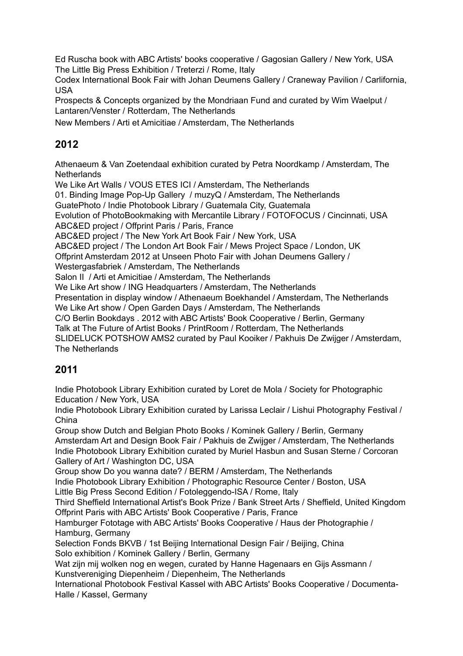Ed Ruscha book with ABC Artists' books cooperative / Gagosian Gallery / New York, USA The Little Big Press Exhibition / Treterzi / Rome, Italy

Codex International Book Fair with Johan Deumens Gallery / Craneway Pavilion / Carlifornia, USA

Prospects & Concepts organized by the Mondriaan Fund and curated by Wim Waelput / Lantaren/Venster / Rotterdam, The Netherlands

New Members / Arti et Amicitiae / Amsterdam, The Netherlands

## **2012**

Athenaeum & Van Zoetendaal exhibition curated by Petra Noordkamp / Amsterdam, The **Netherlands** 

We Like Art Walls / VOUS ETES ICI / Amsterdam, The Netherlands 01. Binding Image Pop-Up Gallery / muzyQ / Amsterdam, The Netherlands GuatePhoto / Indie Photobook Library / Guatemala City, Guatemala Evolution of PhotoBookmaking with Mercantile Library / FOTOFOCUS / Cincinnati, USA ABC&ED project / Offprint Paris / Paris, France ABC&ED project / The New York Art Book Fair / New York, USA ABC&ED project / The London Art Book Fair / Mews Project Space / London, UK Offprint Amsterdam 2012 at Unseen Photo Fair with Johan Deumens Gallery / Westergasfabriek / Amsterdam, The Netherlands Salon II / Arti et Amicitiae / Amsterdam, The Netherlands We Like Art show / ING Headquarters / Amsterdam, The Netherlands Presentation in display window / Athenaeum Boekhandel / Amsterdam, The Netherlands We Like Art show / Open Garden Days / Amsterdam, The Netherlands C/O Berlin Bookdays . 2012 with ABC Artists' Book Cooperative / Berlin, Germany Talk at The Future of Artist Books / PrintRoom / Rotterdam, The Netherlands SLIDELUCK POTSHOW AMS2 curated by Paul Kooiker / Pakhuis De Zwijger / Amsterdam, The Netherlands

## **2011**

Indie Photobook Library Exhibition curated by Loret de Mola / Society for Photographic Education / New York, USA

Indie Photobook Library Exhibition curated by Larissa Leclair / Lishui Photography Festival / China

Group show Dutch and Belgian Photo Books / Kominek Gallery / Berlin, Germany Amsterdam Art and Design Book Fair / Pakhuis de Zwijger / Amsterdam, The Netherlands Indie Photobook Library Exhibition curated by Muriel Hasbun and Susan Sterne / Corcoran Gallery of Art / Washington DC, USA

Group show Do you wanna date? / BERM / Amsterdam, The Netherlands

Indie Photobook Library Exhibition / Photographic Resource Center / Boston, USA Little Big Press Second Edition / Fotoleggendo-ISA / Rome, Italy

Third Sheffield International Artist's Book Prize / Bank Street Arts / Sheffield, United Kingdom Offprint Paris with ABC Artists' Book Cooperative / Paris, France

Hamburger Fototage with ABC Artists' Books Cooperative / Haus der Photographie / Hamburg, Germany

Selection Fonds BKVB / 1st Beijing International Design Fair / Beijing, China Solo exhibition / Kominek Gallery / Berlin, Germany

Wat zijn mij wolken nog en wegen, curated by Hanne Hagenaars en Gijs Assmann / Kunstvereniging Diepenheim / Diepenheim, The Netherlands

International Photobook Festival Kassel with ABC Artists' Books Cooperative / Documenta-Halle / Kassel, Germany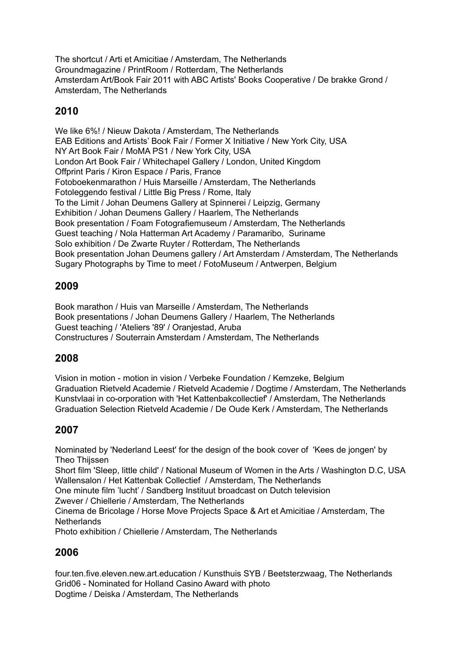The shortcut / Arti et Amicitiae / Amsterdam, The Netherlands Groundmagazine / PrintRoom / Rotterdam, The Netherlands Amsterdam Art/Book Fair 2011 with ABC Artists' Books Cooperative / De brakke Grond / Amsterdam, The Netherlands

## **2010**

We like 6%! / Nieuw Dakota / Amsterdam, The Netherlands EAB Editions and Artists' Book Fair / Former X Initiative / New York City, USA NY Art Book Fair / MoMA PS1 / New York City, USA London Art Book Fair / Whitechapel Gallery / London, United Kingdom Offprint Paris / Kiron Espace / Paris, France Fotoboekenmarathon / Huis Marseille / Amsterdam, The Netherlands Fotoleggendo festival / Little Big Press / Rome, Italy To the Limit / Johan Deumens Gallery at Spinnerei / Leipzig, Germany Exhibition / Johan Deumens Gallery / Haarlem, The Netherlands Book presentation / Foam Fotografiemuseum / Amsterdam, The Netherlands Guest teaching / Nola Hatterman Art Academy / Paramaribo, Suriname Solo exhibition / De Zwarte Ruyter / Rotterdam, The Netherlands Book presentation Johan Deumens gallery / Art Amsterdam / Amsterdam, The Netherlands Sugary Photographs by Time to meet / FotoMuseum / Antwerpen, Belgium

### **2009**

Book marathon / Huis van Marseille / Amsterdam, The Netherlands Book presentations / Johan Deumens Gallery / Haarlem, The Netherlands Guest teaching / 'Ateliers '89' / Oranjestad, Aruba Constructures / Souterrain Amsterdam / Amsterdam, The Netherlands

#### **2008**

Vision in motion - motion in vision / Verbeke Foundation / Kemzeke, Belgium Graduation Rietveld Academie / Rietveld Academie / Dogtime / Amsterdam, The Netherlands Kunstvlaai in co-orporation with 'Het Kattenbakcollectief' / Amsterdam, The Netherlands Graduation Selection Rietveld Academie / De Oude Kerk / Amsterdam, The Netherlands

## **2007**

Nominated by 'Nederland Leest' for the design of the book cover of 'Kees de jongen' by Theo Thiissen Short film 'Sleep, little child' / National Museum of Women in the Arts / Washington D.C, USA Wallensalon / Het Kattenbak Collectief / Amsterdam, The Netherlands One minute film 'lucht' / Sandberg Instituut broadcast on Dutch television Zwever / Chiellerie / Amsterdam, The Netherlands Cinema de Bricolage / Horse Move Projects Space & Art et Amicitiae / Amsterdam, The **Netherlands** Photo exhibition / Chiellerie / Amsterdam, The Netherlands

#### **2006**

four.ten.five.eleven.new.art.education / Kunsthuis SYB / Beetsterzwaag, The Netherlands Grid06 - Nominated for Holland Casino Award with photo Dogtime / Deiska / Amsterdam, The Netherlands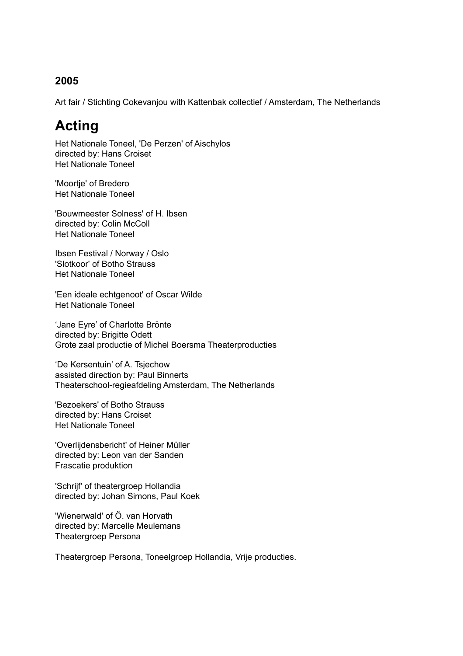#### **2005**

Art fair / Stichting Cokevanjou with Kattenbak collectief / Amsterdam, The Netherlands

# **Acting**

Het Nationale Toneel, 'De Perzen' of Aischylos directed by: Hans Croiset Het Nationale Toneel

'Moortje' of Bredero Het Nationale Toneel

'Bouwmeester Solness' of H. Ibsen directed by: Colin McColl Het Nationale Toneel

Ibsen Festival / Norway / Oslo 'Slotkoor' of Botho Strauss Het Nationale Toneel

'Een ideale echtgenoot' of Oscar Wilde Het Nationale Toneel

'Jane Eyre' of Charlotte Brönte directed by: Brigitte Odett Grote zaal productie of Michel Boersma Theaterproducties

'De Kersentuin' of A. Tsjechow assisted direction by: Paul Binnerts Theaterschool-regieafdeling Amsterdam, The Netherlands

'Bezoekers' of Botho Strauss directed by: Hans Croiset Het Nationale Toneel

'Overlijdensbericht' of Heiner Müller directed by: Leon van der Sanden Frascatie produktion

'Schrijf' of theatergroep Hollandia directed by: Johan Simons, Paul Koek

'Wienerwald' of Ö. van Horvath directed by: Marcelle Meulemans Theatergroep Persona

Theatergroep Persona, Toneelgroep Hollandia, Vrije producties.